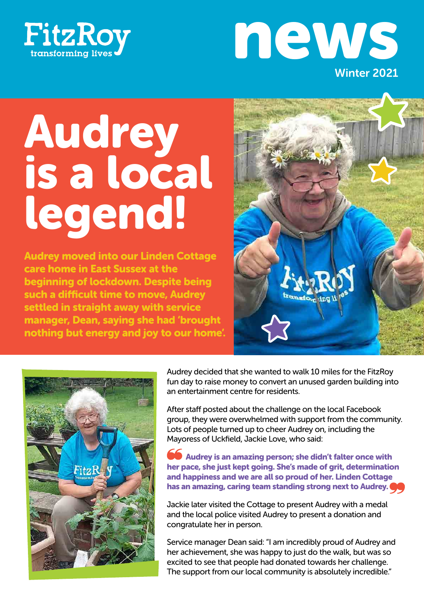



# Audrey is a local legend!

Audrey moved into our Linden Cottage care home in East Sussex at the beginning of lockdown. Despite being such a difficult time to move, Audrey settled in straight away with service manager, Dean, saying she had 'brought nothing but energy and joy to our home'.





Audrey decided that she wanted to walk 10 miles for the FitzRoy fun day to raise money to convert an unused garden building into an entertainment centre for residents.

After staff posted about the challenge on the local Facebook group, they were overwhelmed with support from the community. Lots of people turned up to cheer Audrey on, including the Mayoress of Uckfield, Jackie Love, who said:

 Audrey is an amazing person; she didn't falter once with her pace, she just kept going. She's made of grit, determination and happiness and we are all so proud of her. Linden Cottage has an amazing, caring team standing strong next to Audrey.

Jackie later visited the Cottage to present Audrey with a medal and the local police visited Audrey to present a donation and congratulate her in person.

Service manager Dean said: "I am incredibly proud of Audrey and her achievement, she was happy to just do the walk, but was so excited to see that people had donated towards her challenge. The support from our local community is absolutely incredible."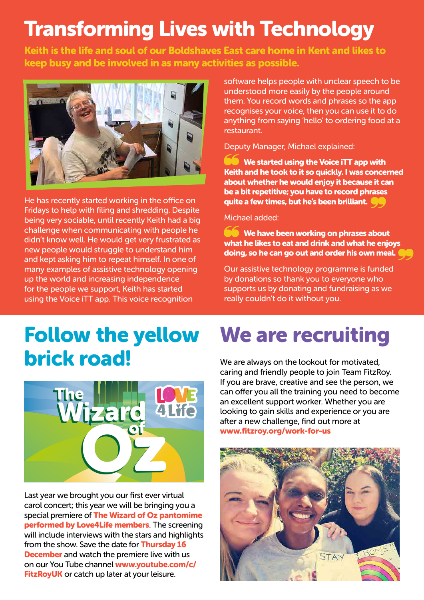# Transforming Lives with Technology

Keith is the life and soul of our Boldshaves East care home in Kent and likes to keep busy and be involved in as many activities as possible.



He has recently started working in the office on Fridays to help with filing and shredding. Despite being very sociable, until recently Keith had a big challenge when communicating with people he didn't know well. He would get very frustrated as new people would struggle to understand him and kept asking him to repeat himself. In one of many examples of assistive technology opening up the world and increasing independence for the people we support, Keith has started using the Voice iTT app. This voice recognition

software helps people with unclear speech to be understood more easily by the people around them. You record words and phrases so the app recognises your voice, then you can use it to do anything from saying 'hello' to ordering food at a restaurant.

Deputy Manager, Michael explained:

 We started using the Voice iTT app with Keith and he took to it so quickly. I was concerned about whether he would enjoy it because it can be a bit repetitive; you have to record phrases quite a few times, but he's been brilliant.

Michael added:

**We have been working on phrases about** what he likes to eat and drink and what he enjoys doing, so he can go out and order his own meal.

Our assistive technology programme is funded by donations so thank you to everyone who supports us by donating and fundraising as we really couldn't do it without you.

## Follow the yellow brick road! plici



Last year we brought you our first ever virtual carol concert; this year we will be bringing you a special premiere of **The Wizard of Oz pantomime** performed by Love4Life members. The screening will include interviews with the stars and highlights from the show. Save the date for **Thursday 16 December** and watch the premiere live with us on our You Tube channel www.youtube.com/c/ FitzRoyUK or catch up later at your leisure. t year we brought you our first e

# We are recruiting

We are always on the lookout for motivated, caring and friendly people to join Team FitzRoy. If you are brave, creative and see the person, we can offer you all the training you need to become an excellent support worker. Whether you are looking to gain skills and experience or you are after a new challenge, find out more at www.fitzroy.org/work-for-us

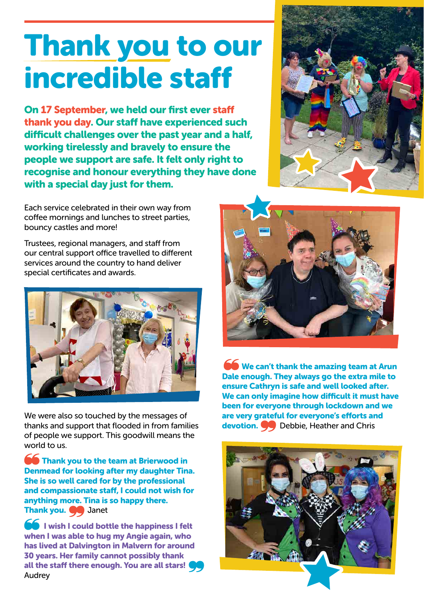# Thank you to our incredible staff

On 17 September, we held our first ever staff thank you day. Our staff have experienced such difficult challenges over the past year and a half, working tirelessly and bravely to ensure the people we support are safe. It felt only right to recognise and honour everything they have done with a special day just for them.

Each service celebrated in their own way from coffee mornings and lunches to street parties, bouncy castles and more!

Trustees, regional managers, and staff from our central support office travelled to different services around the country to hand deliver special certificates and awards.



We were also so touched by the messages of thanks and support that flooded in from families of people we support. This goodwill means the world to us.

**Thank you to the team at Brierwood in** Denmead for looking after my daughter Tina. She is so well cared for by the professional and compassionate staff, I could not wish for anything more. Tina is so happy there. Thank you. **O** Janet

 $\blacksquare$  I wish I could bottle the happiness I felt when I was able to hug my Angie again, who has lived at Dalvington in Malvern for around 30 years. Her family cannot possibly thank all the staff there enough. You are all stars! Audrey





We can't thank the amazing team at Arun Dale enough. They always go the extra mile to ensure Cathryn is safe and well looked after. We can only imagine how difficult it must have been for everyone through lockdown and we are very grateful for everyone's efforts and devotion.  $\bullet$  Debbie, Heather and Chris